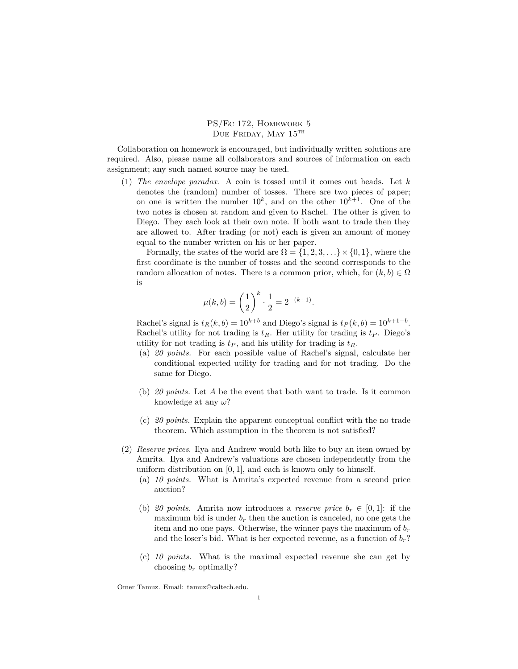PS/Ec 172, Homework 5 DUE FRIDAY, MAY 15TH

Collaboration on homework is encouraged, but individually written solutions are required. Also, please name all collaborators and sources of information on each assignment; any such named source may be used.

(1) *The envelope paradox*. A coin is tossed until it comes out heads. Let *k* denotes the (random) number of tosses. There are two pieces of paper; on one is written the number  $10^k$ , and on the other  $10^{k+1}$ . One of the two notes is chosen at random and given to Rachel. The other is given to Diego. They each look at their own note. If both want to trade then they are allowed to. After trading (or not) each is given an amount of money equal to the number written on his or her paper.

Formally, the states of the world are  $\Omega = \{1, 2, 3, \ldots\} \times \{0, 1\}$ , where the first coordinate is the number of tosses and the second corresponds to the random allocation of notes. There is a common prior, which, for  $(k, b) \in \Omega$ is

$$
\mu(k, b) = \left(\frac{1}{2}\right)^k \cdot \frac{1}{2} = 2^{-(k+1)}.
$$

Rachel's signal is  $t_R(k, b) = 10^{k+b}$  and Diego's signal is  $t_P(k, b) = 10^{k+1-b}$ . Rachel's utility for not trading is  $t_R$ . Her utility for trading is  $t_P$ . Diego's utility for not trading is  $t<sub>P</sub>$ , and his utility for trading is  $t<sub>R</sub>$ .

- (a) *20 points.* For each possible value of Rachel's signal, calculate her conditional expected utility for trading and for not trading. Do the same for Diego.
- (b) *20 points.* Let *A* be the event that both want to trade. Is it common knowledge at any *ω*?
- (c) *20 points.* Explain the apparent conceptual conflict with the no trade theorem. Which assumption in the theorem is not satisfied?
- (2) *Reserve prices*. Ilya and Andrew would both like to buy an item owned by Amrita. Ilya and Andrew's valuations are chosen independently from the uniform distribution on [0*,* 1], and each is known only to himself.
	- (a) *10 points.* What is Amrita's expected revenue from a second price auction?
	- (b) 20 points. Amrita now introduces a *reserve price*  $b_r \in [0,1]$ : if the maximum bid is under  $b_r$  then the auction is canceled, no one gets the item and no one pays. Otherwise, the winner pays the maximum of  $b_r$ and the loser's bid. What is her expected revenue, as a function of  $b_r$ ?
	- (c) *10 points.* What is the maximal expected revenue she can get by choosing *b<sup>r</sup>* optimally?

Omer Tamuz. Email: tamuz@caltech.edu.